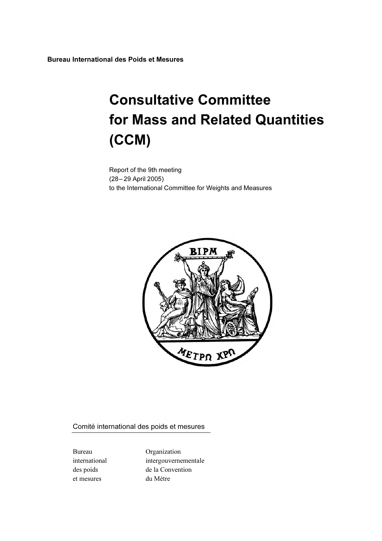Bureau International des Poids et Mesures

# Consultative Committee for Mass and Related Quantities (CCM)

Report of the 9th meeting (28– 29 April 2005) to the International Committee for Weights and Measures



Comité international des poids et mesures

et mesures du Mètre

Bureau Organization international intergouvernementale des poids de la Convention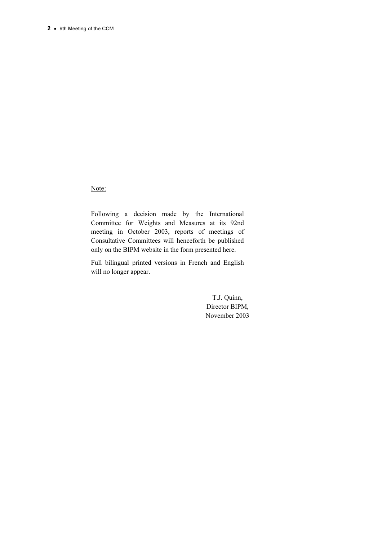Note:

Following a decision made by the International Committee for Weights and Measures at its 92nd meeting in October 2003, reports of meetings of Consultative Committees will henceforth be published only on the BIPM website in the form presented here.

Full bilingual printed versions in French and English will no longer appear.

> T.J. Quinn, Director BIPM, November 2003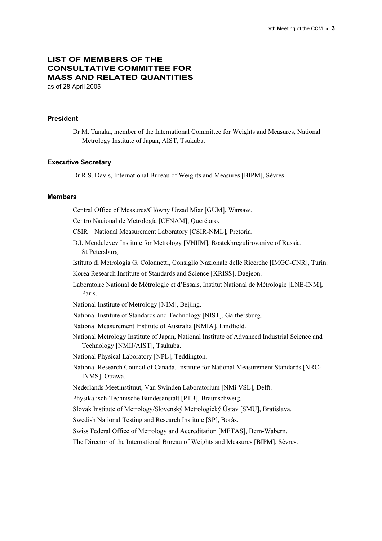# LIST OF MEMBERS OF THE CONSULTATIVE COMMITTEE FOR MASS AND RELATED QUANTITIES as of 28 April 2005

#### President

Dr M. Tanaka, member of the International Committee for Weights and Measures, National Metrology Institute of Japan, AIST, Tsukuba.

#### Executive Secretary

Dr R.S. Davis, International Bureau of Weights and Measures [BIPM], Sèvres.

#### Members

Central Office of Measures/Glόwny Urzad Miar [GUM], Warsaw. Centro Nacional de Metrología [CENAM], Querétaro. CSIR – National Measurement Laboratory [CSIR-NML], Pretoria. D.I. Mendeleyev Institute for Metrology [VNIIM], Rostekhregulirovaniye of Russia, St Petersburg. Istituto di Metrologia G. Colonnetti, Consiglio Nazionale delle Ricerche [IMGC-CNR], Turin. Korea Research Institute of Standards and Science [KRISS], Daejeon. Laboratoire National de Métrologie et d'Essais, Institut National de Métrologie [LNE-INM], Paris. National Institute of Metrology [NIM], Beijing. National Institute of Standards and Technology [NIST], Gaithersburg. National Measurement Institute of Australia [NMIA], Lindfield. National Metrology Institute of Japan, National Institute of Advanced Industrial Science and Technology [NMIJ/AIST], Tsukuba. National Physical Laboratory [NPL], Teddington. National Research Council of Canada, Institute for National Measurement Standards [NRC-INMS], Ottawa. Nederlands Meetinstituut, Van Swinden Laboratorium [NMi VSL], Delft. Physikalisch-Technische Bundesanstalt [PTB], Braunschweig. Slovak Institute of Metrology/Slovenský Metrologický Ústav [SMU], Bratislava. Swedish National Testing and Research Institute [SP], Borås. Swiss Federal Office of Metrology and Accreditation [METAS], Bern-Wabern. The Director of the International Bureau of Weights and Measures [BIPM], Sèvres.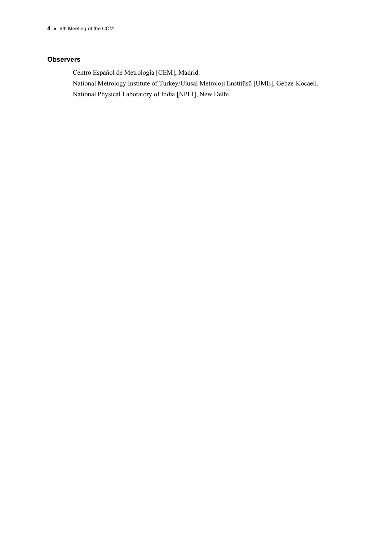## **Observers**

Centro Español de Metrología [CEM], Madrid.

National Metrology Institute of Turkey/Ulusal Metroloji Enstitüsü [UME], Gebze-Kocaeli. National Physical Laboratory of India [NPLI], New Delhi.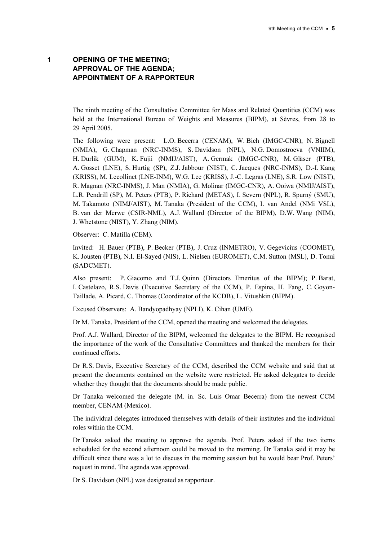# 1 OPENING OF THE MEETING; APPROVAL OF THE AGENDA; APPOINTMENT OF A RAPPORTEUR

The ninth meeting of the Consultative Committee for Mass and Related Quantities (CCM) was held at the International Bureau of Weights and Measures (BIPM), at Sèvres, from 28 to 29 April 2005.

The following were present: L.O. Becerra (CENAM), W. Bich (IMGC-CNR), N. Bignell (NMIA), G. Chapman (NRC-INMS), S. Davidson (NPL), N.G. Domostroeva (VNIIM), H. Durlik (GUM), K. Fujii (NMIJ/AIST), A. Germak (IMGC-CNR), M. Gläser (PTB), A. Gosset (LNE), S. Hurtig (SP), Z.J. Jabbour (NIST), C. Jacques (NRC-INMS), D.-I. Kang (KRISS), M. Lecollinet (LNE-INM), W.G. Lee (KRISS), J.-C. Legras (LNE), S.R. Low (NIST), R. Magnan (NRC-INMS), J. Man (NMIA), G. Molinar (IMGC-CNR), A. Ooiwa (NMIJ/AIST), L.R. Pendrill (SP), M. Peters (PTB), P. Richard (METAS), I. Severn (NPL), R. Spurný (SMU), M. Takamoto (NIMJ/AIST), M. Tanaka (President of the CCM), I. van Andel (NMi VSL), B. van der Merwe (CSIR-NML), A.J. Wallard (Director of the BIPM), D.W. Wang (NIM), J. Whetstone (NIST), Y. Zhang (NIM).

Observer: C. Matilla (CEM).

Invited: H. Bauer (PTB), P. Becker (PTB), J. Cruz (INMETRO), V. Gegevicius (COOMET), K. Jousten (PTB), N.I. El-Sayed (NIS), L. Nielsen (EUROMET), C.M. Sutton (MSL), D. Tonui (SADCMET).

Also present: P. Giacomo and T.J. Quinn (Directors Emeritus of the BIPM); P. Barat, I. Castelazo, R.S. Davis (Executive Secretary of the CCM), P. Espina, H. Fang, C. Goyon-Taillade, A. Picard, C. Thomas (Coordinator of the KCDB), L. Vitushkin (BIPM).

Excused Observers: A. Bandyopadhyay (NPLI), K. Cihan (UME).

Dr M. Tanaka, President of the CCM, opened the meeting and welcomed the delegates.

Prof. A.J. Wallard, Director of the BIPM, welcomed the delegates to the BIPM. He recognised the importance of the work of the Consultative Committees and thanked the members for their continued efforts.

Dr R.S. Davis, Executive Secretary of the CCM, described the CCM website and said that at present the documents contained on the website were restricted. He asked delegates to decide whether they thought that the documents should be made public.

Dr Tanaka welcomed the delegate (M. in. Sc. Luis Omar Becerra) from the newest CCM member, CENAM (Mexico).

The individual delegates introduced themselves with details of their institutes and the individual roles within the CCM.

Dr Tanaka asked the meeting to approve the agenda. Prof. Peters asked if the two items scheduled for the second afternoon could be moved to the morning. Dr Tanaka said it may be difficult since there was a lot to discuss in the morning session but he would bear Prof. Peters' request in mind. The agenda was approved.

Dr S. Davidson (NPL) was designated as rapporteur.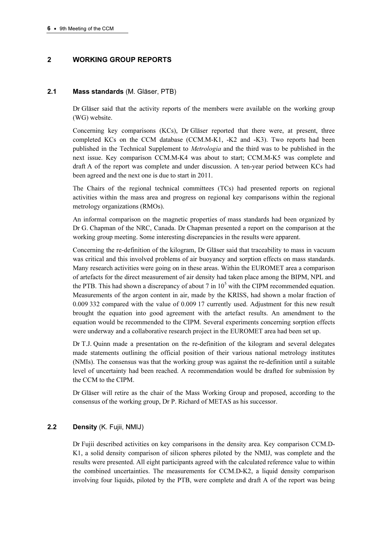# 2 WORKING GROUP REPORTS

## 2.1 Mass standards (M. Gläser, PTB)

Dr Gläser said that the activity reports of the members were available on the working group (WG) website.

Concerning key comparisons (KCs), Dr Gläser reported that there were, at present, three completed KCs on the CCM database (CCM.M-K1, -K2 and -K3). Two reports had been published in the Technical Supplement to Metrologia and the third was to be published in the next issue. Key comparison CCM.M-K4 was about to start; CCM.M-K5 was complete and draft A of the report was complete and under discussion. A ten-year period between KCs had been agreed and the next one is due to start in 2011.

The Chairs of the regional technical committees (TCs) had presented reports on regional activities within the mass area and progress on regional key comparisons within the regional metrology organizations (RMOs).

An informal comparison on the magnetic properties of mass standards had been organized by Dr G. Chapman of the NRC, Canada. Dr Chapman presented a report on the comparison at the working group meeting. Some interesting discrepancies in the results were apparent.

Concerning the re-definition of the kilogram, Dr Gläser said that traceability to mass in vacuum was critical and this involved problems of air buoyancy and sorption effects on mass standards. Many research activities were going on in these areas. Within the EUROMET area a comparison of artefacts for the direct measurement of air density had taken place among the BIPM, NPL and the PTB. This had shown a discrepancy of about 7 in  $10<sup>5</sup>$  with the CIPM recommended equation. Measurements of the argon content in air, made by the KRISS, had shown a molar fraction of 0.009 332 compared with the value of 0.009 17 currently used. Adjustment for this new result brought the equation into good agreement with the artefact results. An amendment to the equation would be recommended to the CIPM. Several experiments concerning sorption effects were underway and a collaborative research project in the EUROMET area had been set up.

Dr T.J. Quinn made a presentation on the re-definition of the kilogram and several delegates made statements outlining the official position of their various national metrology institutes (NMIs). The consensus was that the working group was against the re-definition until a suitable level of uncertainty had been reached. A recommendation would be drafted for submission by the CCM to the CIPM.

Dr Gläser will retire as the chair of the Mass Working Group and proposed, according to the consensus of the working group, Dr P. Richard of METAS as his successor.

## 2.2 Density (K. Fuiji, NMIJ)

Dr Fujii described activities on key comparisons in the density area. Key comparison CCM.D-K1, a solid density comparison of silicon spheres piloted by the NMIJ, was complete and the results were presented. All eight participants agreed with the calculated reference value to within the combined uncertainties. The measurements for CCM.D-K2, a liquid density comparison involving four liquids, piloted by the PTB, were complete and draft A of the report was being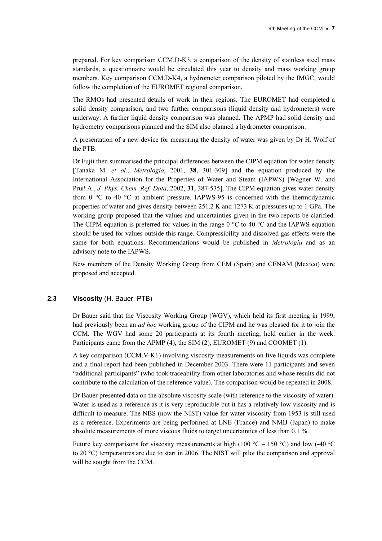prepared. For key comparison CCM.D-K3, a comparison of the density of stainless steel mass standards, a questionnaire would be circulated this year to density and mass working group members. Key comparison CCM.D-K4, a hydrometer comparison piloted by the IMGC, would follow the completion of the EUROMET regional comparison.

The RMOs had presented details of work in their regions. The EUROMET had completed a solid density comparison, and two further comparisons (liquid density and hydrometers) were underway. A further liquid density comparison was planned. The APMP had solid density and hydrometry comparisons planned and the SIM also planned a hydrometer comparison.

A presentation of a new device for measuring the density of water was given by Dr H. Wolf of the PTB.

Dr Fujii then summarised the principal differences between the CIPM equation for water density [Tanaka M. et al., Metrologia, 2001, 38, 301-309] and the equation produced by the International Association for the Properties of Water and Steam (IAPWS) [Wagner W. and Pruß A., J. Phys. Chem. Ref. Data, 2002, 31, 387-535]. The CIPM equation gives water density from 0 °C to 40 °C at ambient pressure. IAPWS-95 is concerned with the thermodynamic properties of water and gives density between 251.2 K and 1273 K at pressures up to 1 GPa. The working group proposed that the values and uncertainties given in the two reports be clarified. The CIPM equation is preferred for values in the range  $0^{\circ}$ C to 40  $^{\circ}$ C and the IAPWS equation should be used for values outside this range. Compressibility and dissolved gas effects were the same for both equations. Recommendations would be published in Metrologia and as an advisory note to the IAPWS.

New members of the Density Working Group from CEM (Spain) and CENAM (Mexico) were proposed and accepted.

## 2.3 Viscosity (H. Bauer, PTB)

Dr Bauer said that the Viscosity Working Group (WGV), which held its first meeting in 1999, had previously been an *ad hoc* working group of the CIPM and he was pleased for it to join the CCM. The WGV had some 20 participants at its fourth meeting, held earlier in the week. Participants came from the APMP (4), the SIM (2), EUROMET (9) and COOMET (1).

A key comparison (CCM.V-K1) involving viscosity measurements on five liquids was complete and a final report had been published in December 2003. There were 11 participants and seven "additional participants" (who took traceability from other laboratories and whose results did not contribute to the calculation of the reference value). The comparison would be repeated in 2008.

Dr Bauer presented data on the absolute viscosity scale (with reference to the viscosity of water). Water is used as a reference as it is very reproducible but it has a relatively low viscosity and is difficult to measure. The NBS (now the NIST) value for water viscosity from 1953 is still used as a reference. Experiments are being performed at LNE (France) and NMIJ (Japan) to make absolute measurements of more viscous fluids to target uncertainties of less than 0.1 %.

Future key comparisons for viscosity measurements at high (100 °C – 150 °C) and low (-40 °C) to 20 °C) temperatures are due to start in 2006. The NIST will pilot the comparison and approval will be sought from the CCM.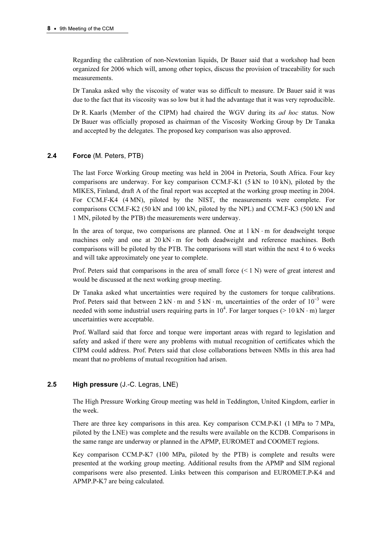Regarding the calibration of non-Newtonian liquids, Dr Bauer said that a workshop had been organized for 2006 which will, among other topics, discuss the provision of traceability for such measurements.

Dr Tanaka asked why the viscosity of water was so difficult to measure. Dr Bauer said it was due to the fact that its viscosity was so low but it had the advantage that it was very reproducible.

Dr R. Kaarls (Member of the CIPM) had chaired the WGV during its *ad hoc* status. Now Dr Bauer was officially proposed as chairman of the Viscosity Working Group by Dr Tanaka and accepted by the delegates. The proposed key comparison was also approved.

## 2.4 Force (M. Peters, PTB)

The last Force Working Group meeting was held in 2004 in Pretoria, South Africa. Four key comparisons are underway. For key comparison CCM.F-K1 (5 kN to 10 kN), piloted by the MIKES, Finland, draft A of the final report was accepted at the working group meeting in 2004. For CCM.F-K4 (4 MN), piloted by the NIST, the measurements were complete. For comparisons CCM.F-K2 (50 kN and 100 kN, piloted by the NPL) and CCM.F-K3 (500 kN and 1 MN, piloted by the PTB) the measurements were underway.

In the area of torque, two comparisons are planned. One at  $1 \text{ kN} \cdot \text{m}$  for deadweight torque machines only and one at  $20 \text{ kN} \cdot \text{m}$  for both deadweight and reference machines. Both comparisons will be piloted by the PTB. The comparisons will start within the next 4 to 6 weeks and will take approximately one year to complete.

Prof. Peters said that comparisons in the area of small force  $(< 1 N)$  were of great interest and would be discussed at the next working group meeting.

Dr Tanaka asked what uncertainties were required by the customers for torque calibrations. Prof. Peters said that between  $2 kN \cdot m$  and  $5 kN \cdot m$ , uncertainties of the order of  $10^{-3}$  were needed with some industrial users requiring parts in  $10^4$ . For larger torques (> 10 kN · m) larger uncertainties were acceptable.

Prof. Wallard said that force and torque were important areas with regard to legislation and safety and asked if there were any problems with mutual recognition of certificates which the CIPM could address. Prof. Peters said that close collaborations between NMIs in this area had meant that no problems of mutual recognition had arisen.

#### 2.5 **High pressure (J.-C. Legras, LNE)**

The High Pressure Working Group meeting was held in Teddington, United Kingdom, earlier in the week.

There are three key comparisons in this area. Key comparison CCM.P-K1 (1 MPa to 7 MPa, piloted by the LNE) was complete and the results were available on the KCDB. Comparisons in the same range are underway or planned in the APMP, EUROMET and COOMET regions.

Key comparison CCM.P-K7 (100 MPa, piloted by the PTB) is complete and results were presented at the working group meeting. Additional results from the APMP and SIM regional comparisons were also presented. Links between this comparison and EUROMET.P-K4 and APMP.P-K7 are being calculated.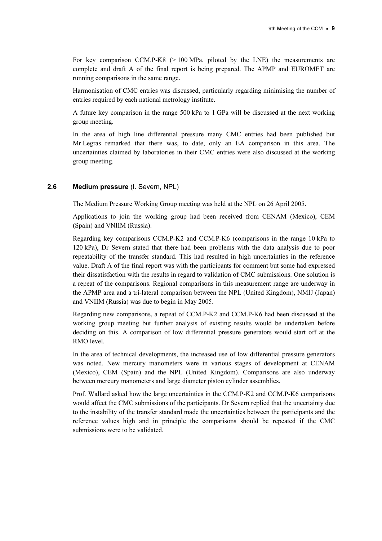For key comparison CCM.P-K8  $(> 100 \text{ MPa}$ , piloted by the LNE) the measurements are complete and draft A of the final report is being prepared. The APMP and EUROMET are running comparisons in the same range.

Harmonisation of CMC entries was discussed, particularly regarding minimising the number of entries required by each national metrology institute.

A future key comparison in the range 500 kPa to 1 GPa will be discussed at the next working group meeting.

In the area of high line differential pressure many CMC entries had been published but Mr Legras remarked that there was, to date, only an EA comparison in this area. The uncertainties claimed by laboratories in their CMC entries were also discussed at the working group meeting.

## 2.6 Medium pressure (I. Severn, NPL)

The Medium Pressure Working Group meeting was held at the NPL on 26 April 2005.

Applications to join the working group had been received from CENAM (Mexico), CEM (Spain) and VNIIM (Russia).

Regarding key comparisons CCM.P-K2 and CCM.P-K6 (comparisons in the range 10 kPa to 120 kPa), Dr Severn stated that there had been problems with the data analysis due to poor repeatability of the transfer standard. This had resulted in high uncertainties in the reference value. Draft A of the final report was with the participants for comment but some had expressed their dissatisfaction with the results in regard to validation of CMC submissions. One solution is a repeat of the comparisons. Regional comparisons in this measurement range are underway in the APMP area and a tri-lateral comparison between the NPL (United Kingdom), NMIJ (Japan) and VNIIM (Russia) was due to begin in May 2005.

Regarding new comparisons, a repeat of CCM.P-K2 and CCM.P-K6 had been discussed at the working group meeting but further analysis of existing results would be undertaken before deciding on this. A comparison of low differential pressure generators would start off at the RMO level.

In the area of technical developments, the increased use of low differential pressure generators was noted. New mercury manometers were in various stages of development at CENAM (Mexico), CEM (Spain) and the NPL (United Kingdom). Comparisons are also underway between mercury manometers and large diameter piston cylinder assemblies.

Prof. Wallard asked how the large uncertainties in the CCM.P-K2 and CCM.P-K6 comparisons would affect the CMC submissions of the participants. Dr Severn replied that the uncertainty due to the instability of the transfer standard made the uncertainties between the participants and the reference values high and in principle the comparisons should be repeated if the CMC submissions were to be validated.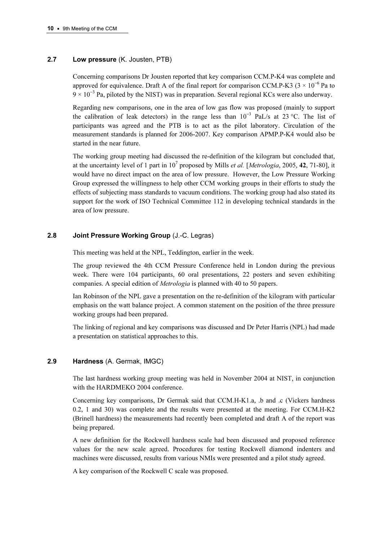## 2.7 Low pressure (K. Jousten, PTB)

Concerning comparisons Dr Jousten reported that key comparison CCM.P-K4 was complete and approved for equivalence. Draft A of the final report for comparison CCM.P-K3 ( $3 \times 10^{-6}$  Pa to 9 × 10<sup>−</sup><sup>3</sup> Pa, piloted by the NIST) was in preparation. Several regional KCs were also underway.

Regarding new comparisons, one in the area of low gas flow was proposed (mainly to support the calibration of leak detectors) in the range less than  $10^{-3}$  PaL/s at 23 °C. The list of participants was agreed and the PTB is to act as the pilot laboratory. Circulation of the measurement standards is planned for 2006-2007. Key comparison APMP.P-K4 would also be started in the near future.

The working group meeting had discussed the re-definition of the kilogram but concluded that, at the uncertainty level of 1 part in  $10^7$  proposed by Mills *et al.* [*Metrologia*, 2005, 42, 71-80], it would have no direct impact on the area of low pressure. However, the Low Pressure Working Group expressed the willingness to help other CCM working groups in their efforts to study the effects of subjecting mass standards to vacuum conditions. The working group had also stated its support for the work of ISO Technical Committee 112 in developing technical standards in the area of low pressure.

## 2.8 Joint Pressure Working Group (J.-C. Legras)

This meeting was held at the NPL, Teddington, earlier in the week.

The group reviewed the 4th CCM Pressure Conference held in London during the previous week. There were 104 participants, 60 oral presentations, 22 posters and seven exhibiting companies. A special edition of Metrologia is planned with 40 to 50 papers.

Ian Robinson of the NPL gave a presentation on the re-definition of the kilogram with particular emphasis on the watt balance project. A common statement on the position of the three pressure working groups had been prepared.

The linking of regional and key comparisons was discussed and Dr Peter Harris (NPL) had made a presentation on statistical approaches to this.

## 2.9 Hardness (A. Germak, IMGC)

The last hardness working group meeting was held in November 2004 at NIST, in conjunction with the HARDMEKO 2004 conference.

Concerning key comparisons, Dr Germak said that CCM.H-K1.a, .b and .c (Vickers hardness 0.2, 1 and 30) was complete and the results were presented at the meeting. For CCM.H-K2 (Brinell hardness) the measurements had recently been completed and draft A of the report was being prepared.

A new definition for the Rockwell hardness scale had been discussed and proposed reference values for the new scale agreed. Procedures for testing Rockwell diamond indenters and machines were discussed, results from various NMIs were presented and a pilot study agreed.

A key comparison of the Rockwell C scale was proposed.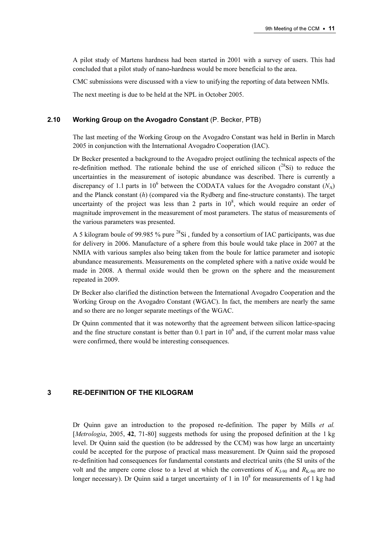A pilot study of Martens hardness had been started in 2001 with a survey of users. This had concluded that a pilot study of nano-hardness would be more beneficial to the area.

CMC submissions were discussed with a view to unifying the reporting of data between NMIs.

The next meeting is due to be held at the NPL in October 2005.

## 2.10 Working Group on the Avogadro Constant (P. Becker, PTB)

The last meeting of the Working Group on the Avogadro Constant was held in Berlin in March 2005 in conjunction with the International Avogadro Cooperation (IAC).

Dr Becker presented a background to the Avogadro project outlining the technical aspects of the re-definition method. The rationale behind the use of enriched silicon  $(^{28}Si)$  to reduce the uncertainties in the measurement of isotopic abundance was described. There is currently a discrepancy of 1.1 parts in 10<sup>6</sup> between the CODATA values for the Avogadro constant ( $N_A$ ) and the Planck constant  $(h)$  (compared via the Rydberg and fine-structure constants). The target uncertainty of the project was less than 2 parts in  $10^8$ , which would require an order of magnitude improvement in the measurement of most parameters. The status of measurements of the various parameters was presented.

A 5 kilogram boule of 99.985 % pure  $^{28}$ Si, funded by a consortium of IAC participants, was due for delivery in 2006. Manufacture of a sphere from this boule would take place in 2007 at the NMIA with various samples also being taken from the boule for lattice parameter and isotopic abundance measurements. Measurements on the completed sphere with a native oxide would be made in 2008. A thermal oxide would then be grown on the sphere and the measurement repeated in 2009.

Dr Becker also clarified the distinction between the International Avogadro Cooperation and the Working Group on the Avogadro Constant (WGAC). In fact, the members are nearly the same and so there are no longer separate meetings of the WGAC.

Dr Quinn commented that it was noteworthy that the agreement between silicon lattice-spacing and the fine structure constant is better than  $0.1$  part in  $10<sup>6</sup>$  and, if the current molar mass value were confirmed, there would be interesting consequences.

# 3 RE-DEFINITION OF THE KILOGRAM

Dr Quinn gave an introduction to the proposed re-definition. The paper by Mills et al. [*Metrologia*, 2005, 42, 71-80] suggests methods for using the proposed definition at the 1 kg level. Dr Quinn said the question (to be addressed by the CCM) was how large an uncertainty could be accepted for the purpose of practical mass measurement. Dr Quinn said the proposed re-definition had consequences for fundamental constants and electrical units (the SI units of the volt and the ampere come close to a level at which the conventions of  $K_{1-90}$  and  $R_{K-90}$  are no longer necessary). Dr Quinn said a target uncertainty of 1 in  $10^8$  for measurements of 1 kg had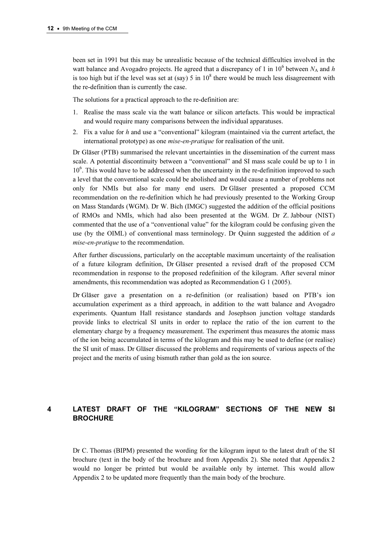been set in 1991 but this may be unrealistic because of the technical difficulties involved in the watt balance and Avogadro projects. He agreed that a discrepancy of 1 in  $10^6$  between  $N_A$  and h is too high but if the level was set at (say) 5 in  $10^8$  there would be much less disagreement with the re-definition than is currently the case.

The solutions for a practical approach to the re-definition are:

- 1. Realise the mass scale via the watt balance or silicon artefacts. This would be impractical and would require many comparisons between the individual apparatuses.
- 2. Fix a value for  $h$  and use a "conventional" kilogram (maintained via the current artefact, the international prototype) as one *mise-en-pratique* for realisation of the unit.

Dr Gläser (PTB) summarised the relevant uncertainties in the dissemination of the current mass scale. A potential discontinuity between a "conventional" and SI mass scale could be up to 1 in 10<sup>6</sup>. This would have to be addressed when the uncertainty in the re-definition improved to such a level that the conventional scale could be abolished and would cause a number of problems not only for NMIs but also for many end users. Dr Gläser presented a proposed CCM recommendation on the re-definition which he had previously presented to the Working Group on Mass Standards (WGM). Dr W. Bich (IMGC) suggested the addition of the official positions of RMOs and NMIs, which had also been presented at the WGM. Dr Z. Jabbour (NIST) commented that the use of a "conventional value" for the kilogram could be confusing given the use (by the OIML) of conventional mass terminology. Dr Quinn suggested the addition of  $a$ mise-en-pratique to the recommendation.

After further discussions, particularly on the acceptable maximum uncertainty of the realisation of a future kilogram definition, Dr Gläser presented a revised draft of the proposed CCM recommendation in response to the proposed redefinition of the kilogram. After several minor amendments, this recommendation was adopted as Recommendation G 1 (2005).

Dr Gläser gave a presentation on a re-definition (or realisation) based on PTB's ion accumulation experiment as a third approach, in addition to the watt balance and Avogadro experiments. Quantum Hall resistance standards and Josephson junction voltage standards provide links to electrical SI units in order to replace the ratio of the ion current to the elementary charge by a frequency measurement. The experiment thus measures the atomic mass of the ion being accumulated in terms of the kilogram and this may be used to define (or realise) the SI unit of mass. Dr Gläser discussed the problems and requirements of various aspects of the project and the merits of using bismuth rather than gold as the ion source.

# 4 LATEST DRAFT OF THE "KILOGRAM" SECTIONS OF THE NEW SI **BROCHURE**

Dr C. Thomas (BIPM) presented the wording for the kilogram input to the latest draft of the SI brochure (text in the body of the brochure and from Appendix 2). She noted that Appendix 2 would no longer be printed but would be available only by internet. This would allow Appendix 2 to be updated more frequently than the main body of the brochure.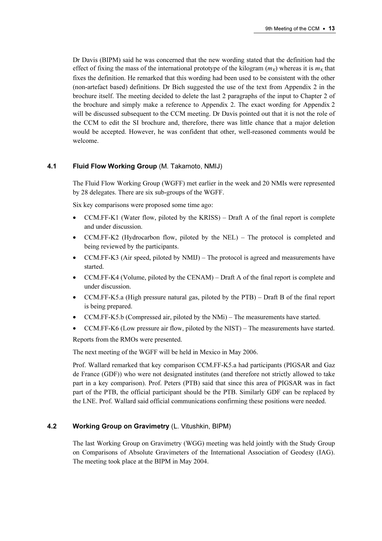Dr Davis (BIPM) said he was concerned that the new wording stated that the definition had the effect of fixing the mass of the international prototype of the kilogram  $(m<sub>K</sub>)$  whereas it is  $m<sub>K</sub>$  that fixes the definition. He remarked that this wording had been used to be consistent with the other (non-artefact based) definitions. Dr Bich suggested the use of the text from Appendix 2 in the brochure itself. The meeting decided to delete the last 2 paragraphs of the input to Chapter 2 of the brochure and simply make a reference to Appendix 2. The exact wording for Appendix 2 will be discussed subsequent to the CCM meeting. Dr Davis pointed out that it is not the role of the CCM to edit the SI brochure and, therefore, there was little chance that a major deletion would be accepted. However, he was confident that other, well-reasoned comments would be welcome.

## 4.1 Fluid Flow Working Group (M. Takamoto, NMIJ)

The Fluid Flow Working Group (WGFF) met earlier in the week and 20 NMIs were represented by 28 delegates. There are six sub-groups of the WGFF.

Six key comparisons were proposed some time ago:

- CCM.FF-K1 (Water flow, piloted by the KRISS) Draft A of the final report is complete and under discussion.
- CCM.FF-K2 (Hydrocarbon flow, piloted by the NEL) The protocol is completed and being reviewed by the participants.
- CCM.FF-K3 (Air speed, piloted by NMIJ) The protocol is agreed and measurements have started.
- CCM.FF-K4 (Volume, piloted by the CENAM) Draft A of the final report is complete and under discussion.
- CCM.FF-K5.a (High pressure natural gas, piloted by the PTB) Draft B of the final report is being prepared.
- CCM.FF-K5.b (Compressed air, piloted by the NMi) The measurements have started.
- CCM.FF-K6 (Low pressure air flow, piloted by the NIST) The measurements have started.

Reports from the RMOs were presented.

The next meeting of the WGFF will be held in Mexico in May 2006.

Prof. Wallard remarked that key comparison CCM.FF-K5.a had participants (PIGSAR and Gaz de France (GDF)) who were not designated institutes (and therefore not strictly allowed to take part in a key comparison). Prof. Peters (PTB) said that since this area of PIGSAR was in fact part of the PTB, the official participant should be the PTB. Similarly GDF can be replaced by the LNE. Prof. Wallard said official communications confirming these positions were needed.

## 4.2 Working Group on Gravimetry (L. Vitushkin, BIPM)

The last Working Group on Gravimetry (WGG) meeting was held jointly with the Study Group on Comparisons of Absolute Gravimeters of the International Association of Geodesy (IAG). The meeting took place at the BIPM in May 2004.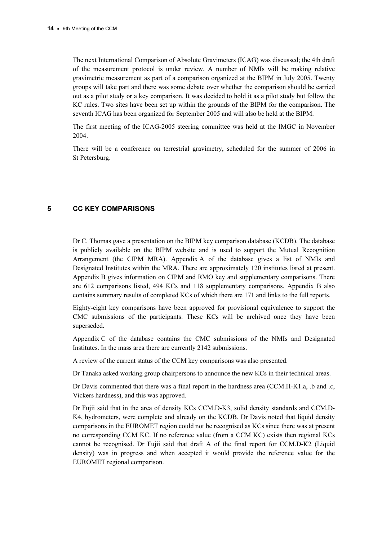The next International Comparison of Absolute Gravimeters (ICAG) was discussed; the 4th draft of the measurement protocol is under review. A number of NMIs will be making relative gravimetric measurement as part of a comparison organized at the BIPM in July 2005. Twenty groups will take part and there was some debate over whether the comparison should be carried out as a pilot study or a key comparison. It was decided to hold it as a pilot study but follow the KC rules. Two sites have been set up within the grounds of the BIPM for the comparison. The seventh ICAG has been organized for September 2005 and will also be held at the BIPM.

The first meeting of the ICAG-2005 steering committee was held at the IMGC in November 2004.

There will be a conference on terrestrial gravimetry, scheduled for the summer of 2006 in St Petersburg.

## 5 CC KEY COMPARISONS

Dr C. Thomas gave a presentation on the BIPM key comparison database (KCDB). The database is publicly available on the BIPM website and is used to support the Mutual Recognition Arrangement (the CIPM MRA). Appendix A of the database gives a list of NMIs and Designated Institutes within the MRA. There are approximately 120 institutes listed at present. Appendix B gives information on CIPM and RMO key and supplementary comparisons. There are 612 comparisons listed, 494 KCs and 118 supplementary comparisons. Appendix B also contains summary results of completed KCs of which there are 171 and links to the full reports.

Eighty-eight key comparisons have been approved for provisional equivalence to support the CMC submissions of the participants. These KCs will be archived once they have been superseded.

Appendix C of the database contains the CMC submissions of the NMIs and Designated Institutes. In the mass area there are currently 2142 submissions.

A review of the current status of the CCM key comparisons was also presented.

Dr Tanaka asked working group chairpersons to announce the new KCs in their technical areas.

Dr Davis commented that there was a final report in the hardness area (CCM.H-K1.a, .b and .c, Vickers hardness), and this was approved.

Dr Fujii said that in the area of density KCs CCM.D-K3, solid density standards and CCM.D-K4, hydrometers, were complete and already on the KCDB. Dr Davis noted that liquid density comparisons in the EUROMET region could not be recognised as KCs since there was at present no corresponding CCM KC. If no reference value (from a CCM KC) exists then regional KCs cannot be recognised. Dr Fujii said that draft A of the final report for CCM.D-K2 (Liquid density) was in progress and when accepted it would provide the reference value for the EUROMET regional comparison.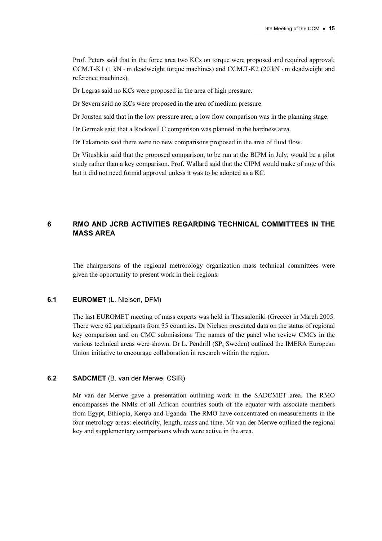Prof. Peters said that in the force area two KCs on torque were proposed and required approval; CCM.T-K1 (1 kN ⋅ m deadweight torque machines) and CCM.T-K2 (20 kN ⋅ m deadweight and reference machines).

Dr Legras said no KCs were proposed in the area of high pressure.

Dr Severn said no KCs were proposed in the area of medium pressure.

Dr Jousten said that in the low pressure area, a low flow comparison was in the planning stage.

Dr Germak said that a Rockwell C comparison was planned in the hardness area.

Dr Takamoto said there were no new comparisons proposed in the area of fluid flow.

Dr Vitushkin said that the proposed comparison, to be run at the BIPM in July, would be a pilot study rather than a key comparison. Prof. Wallard said that the CIPM would make of note of this but it did not need formal approval unless it was to be adopted as a KC.

# 6 RMO AND JCRB ACTIVITIES REGARDING TECHNICAL COMMITTEES IN THE MASS AREA

The chairpersons of the regional metrorology organization mass technical committees were given the opportunity to present work in their regions.

## 6.1 EUROMET (L. Nielsen, DFM)

The last EUROMET meeting of mass experts was held in Thessaloniki (Greece) in March 2005. There were 62 participants from 35 countries. Dr Nielsen presented data on the status of regional key comparison and on CMC submissions. The names of the panel who review CMCs in the various technical areas were shown. Dr L. Pendrill (SP, Sweden) outlined the IMERA European Union initiative to encourage collaboration in research within the region.

## 6.2 SADCMET (B. van der Merwe, CSIR)

Mr van der Merwe gave a presentation outlining work in the SADCMET area. The RMO encompasses the NMIs of all African countries south of the equator with associate members from Egypt, Ethiopia, Kenya and Uganda. The RMO have concentrated on measurements in the four metrology areas: electricity, length, mass and time. Mr van der Merwe outlined the regional key and supplementary comparisons which were active in the area.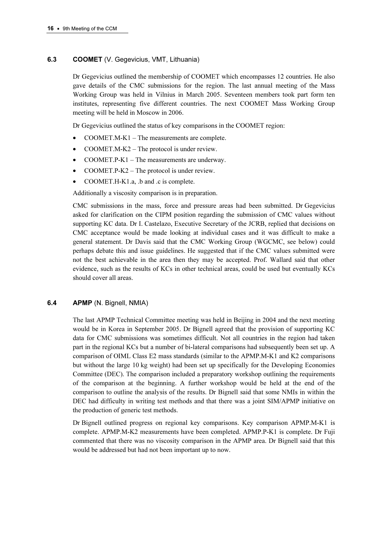# 6.3 COOMET (V. Gegevicius, VMT, Lithuania)

Dr Gegevicius outlined the membership of COOMET which encompasses 12 countries. He also gave details of the CMC submissions for the region. The last annual meeting of the Mass Working Group was held in Vilnius in March 2005. Seventeen members took part form ten institutes, representing five different countries. The next COOMET Mass Working Group meeting will be held in Moscow in 2006.

Dr Gegevicius outlined the status of key comparisons in the COOMET region:

- COOMET.M-K1 The measurements are complete.
- COOMET.M-K2 The protocol is under review.
- COOMET.P-K1 The measurements are underway.
- COOMET.P-K2 The protocol is under review.
- COOMET.H-K1.a, .b and .c is complete.

Additionally a viscosity comparison is in preparation.

CMC submissions in the mass, force and pressure areas had been submitted. Dr Gegevicius asked for clarification on the CIPM position regarding the submission of CMC values without supporting KC data. Dr I. Castelazo, Executive Secretary of the JCRB, replied that decisions on CMC acceptance would be made looking at individual cases and it was difficult to make a general statement. Dr Davis said that the CMC Working Group (WGCMC, see below) could perhaps debate this and issue guidelines. He suggested that if the CMC values submitted were not the best achievable in the area then they may be accepted. Prof. Wallard said that other evidence, such as the results of KCs in other technical areas, could be used but eventually KCs should cover all areas.

# 6.4 APMP (N. Bignell, NMIA)

The last APMP Technical Committee meeting was held in Beijing in 2004 and the next meeting would be in Korea in September 2005. Dr Bignell agreed that the provision of supporting KC data for CMC submissions was sometimes difficult. Not all countries in the region had taken part in the regional KCs but a number of bi-lateral comparisons had subsequently been set up. A comparison of OIML Class E2 mass standards (similar to the APMP.M-K1 and K2 comparisons but without the large 10 kg weight) had been set up specifically for the Developing Economies Committee (DEC). The comparison included a preparatory workshop outlining the requirements of the comparison at the beginning. A further workshop would be held at the end of the comparison to outline the analysis of the results. Dr Bignell said that some NMIs in within the DEC had difficulty in writing test methods and that there was a joint SIM/APMP initiative on the production of generic test methods.

Dr Bignell outlined progress on regional key comparisons. Key comparison APMP.M-K1 is complete. APMP.M-K2 measurements have been completed. APMP.P-K1 is complete. Dr Fuji commented that there was no viscosity comparison in the APMP area. Dr Bignell said that this would be addressed but had not been important up to now.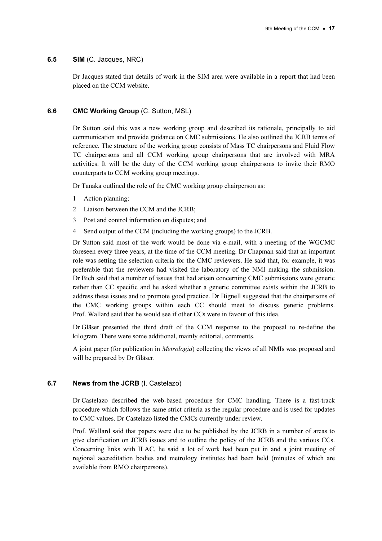## 6.5 SIM (C. Jacques, NRC)

Dr Jacques stated that details of work in the SIM area were available in a report that had been placed on the CCM website.

## 6.6 CMC Working Group (C. Sutton, MSL)

Dr Sutton said this was a new working group and described its rationale, principally to aid communication and provide guidance on CMC submissions. He also outlined the JCRB terms of reference. The structure of the working group consists of Mass TC chairpersons and Fluid Flow TC chairpersons and all CCM working group chairpersons that are involved with MRA activities. It will be the duty of the CCM working group chairpersons to invite their RMO counterparts to CCM working group meetings.

Dr Tanaka outlined the role of the CMC working group chairperson as:

- 1 Action planning;
- 2 Liaison between the CCM and the JCRB;
- 3 Post and control information on disputes; and
- 4 Send output of the CCM (including the working groups) to the JCRB.

Dr Sutton said most of the work would be done via e-mail, with a meeting of the WGCMC foreseen every three years, at the time of the CCM meeting. Dr Chapman said that an important role was setting the selection criteria for the CMC reviewers. He said that, for example, it was preferable that the reviewers had visited the laboratory of the NMI making the submission. Dr Bich said that a number of issues that had arisen concerning CMC submissions were generic rather than CC specific and he asked whether a generic committee exists within the JCRB to address these issues and to promote good practice. Dr Bignell suggested that the chairpersons of the CMC working groups within each CC should meet to discuss generic problems. Prof. Wallard said that he would see if other CCs were in favour of this idea.

Dr Gläser presented the third draft of the CCM response to the proposal to re-define the kilogram. There were some additional, mainly editorial, comments.

A joint paper (for publication in Metrologia) collecting the views of all NMIs was proposed and will be prepared by Dr Gläser.

#### 6.7 News from the JCRB (I. Castelazo)

Dr Castelazo described the web-based procedure for CMC handling. There is a fast-track procedure which follows the same strict criteria as the regular procedure and is used for updates to CMC values. Dr Castelazo listed the CMCs currently under review.

Prof. Wallard said that papers were due to be published by the JCRB in a number of areas to give clarification on JCRB issues and to outline the policy of the JCRB and the various CCs. Concerning links with ILAC, he said a lot of work had been put in and a joint meeting of regional accreditation bodies and metrology institutes had been held (minutes of which are available from RMO chairpersons).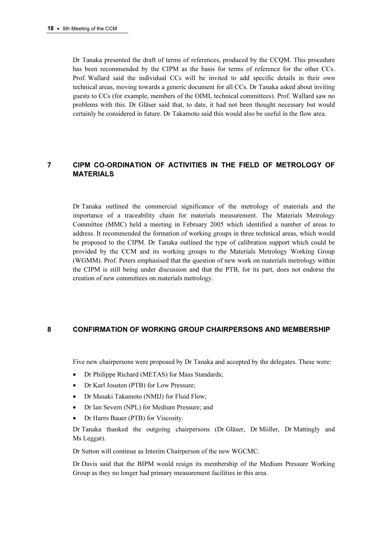Dr Tanaka presented the draft of terms of references, produced by the CCQM. This procedure has been recommended by the CIPM as the basis for terms of reference for the other CCs. Prof. Wallard said the individual CCs will be invited to add specific details in their own technical areas, moving towards a generic document for all CCs. Dr Tanaka asked about inviting guests to CCs (for example, members of the OIML technical committees). Prof. Wallard saw no problems with this. Dr Gläser said that, to date, it had not been thought necessary but would certainly be considered in future. Dr Takamoto said this would also be useful in the flow area.

# 7 CIPM CO-ORDINATION OF ACTIVITIES IN THE FIELD OF METROLOGY OF MATERIALS

Dr Tanaka outlined the commercial significance of the metrology of materials and the importance of a traceability chain for materials measurement. The Materials Metrology Committee (MMC) held a meeting in February 2005 which identified a number of areas to address. It recommended the formation of working groups in three technical areas, which would be proposed to the CIPM. Dr Tanaka outlined the type of calibration support which could be provided by the CCM and its working groups to the Materials Metrology Working Group (WGMM). Prof. Peters emphasised that the question of new work on materials metrology within the CIPM is still being under discussion and that the PTB, for its part, does not endorse the creation of new committees on materials metrology.

## 8 CONFIRMATION OF WORKING GROUP CHAIRPERSONS AND MEMBERSHIP

Five new chairpersons were proposed by Dr Tanaka and accepted by the delegates. These were:

- Dr Philippe Richard (METAS) for Mass Standards;
- Dr Karl Jousten (PTB) for Low Pressure;
- Dr Masaki Takamoto (NMIJ) for Fluid Flow;
- Dr Ian Severn (NPL) for Medium Pressure; and
- Dr Harro Bauer (PTB) for Viscosity.

Dr Tanaka thanked the outgoing chairpersons (Dr Gläser, Dr Miiller, Dr Mattingly and Ms Leggat).

Dr Sutton will continue as Interim Chairperson of the new WGCMC.

Dr Davis said that the BIPM would resign its membership of the Medium Pressure Working Group as they no longer had primary measurement facilities in this area.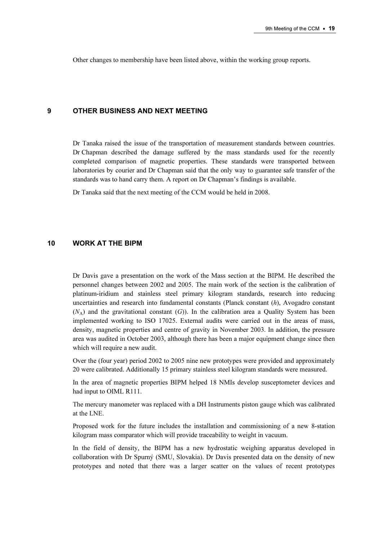Other changes to membership have been listed above, within the working group reports.

## 9 OTHER BUSINESS AND NEXT MEETING

Dr Tanaka raised the issue of the transportation of measurement standards between countries. Dr Chapman described the damage suffered by the mass standards used for the recently completed comparison of magnetic properties. These standards were transported between laboratories by courier and Dr Chapman said that the only way to guarantee safe transfer of the standards was to hand carry them. A report on Dr Chapman's findings is available.

Dr Tanaka said that the next meeting of the CCM would be held in 2008.

# 10 WORK AT THE BIPM

Dr Davis gave a presentation on the work of the Mass section at the BIPM. He described the personnel changes between 2002 and 2005. The main work of the section is the calibration of platinum-iridium and stainless steel primary kilogram standards, research into reducing uncertainties and research into fundamental constants (Planck constant  $(h)$ ). Avogadro constant  $(N_A)$  and the gravitational constant  $(G)$ ). In the calibration area a Quality System has been implemented working to ISO 17025. External audits were carried out in the areas of mass, density, magnetic properties and centre of gravity in November 2003. In addition, the pressure area was audited in October 2003, although there has been a major equipment change since then which will require a new audit.

Over the (four year) period 2002 to 2005 nine new prototypes were provided and approximately 20 were calibrated. Additionally 15 primary stainless steel kilogram standards were measured.

In the area of magnetic properties BIPM helped 18 NMIs develop susceptometer devices and had input to OIML R111.

The mercury manometer was replaced with a DH Instruments piston gauge which was calibrated at the LNE.

Proposed work for the future includes the installation and commissioning of a new 8-station kilogram mass comparator which will provide traceability to weight in vacuum.

In the field of density, the BIPM has a new hydrostatic weighing apparatus developed in collaboration with Dr Spurný (SMU, Slovakia). Dr Davis presented data on the density of new prototypes and noted that there was a larger scatter on the values of recent prototypes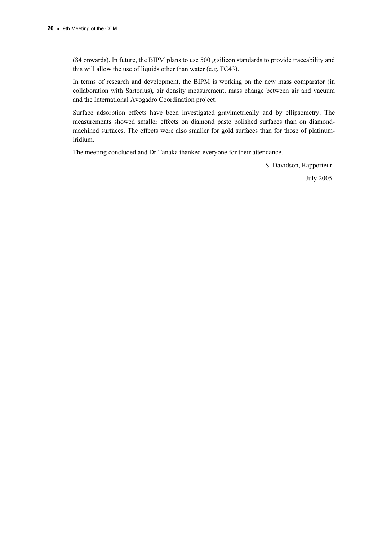(84 onwards). In future, the BIPM plans to use 500 g silicon standards to provide traceability and this will allow the use of liquids other than water (e.g. FC43).

In terms of research and development, the BIPM is working on the new mass comparator (in collaboration with Sartorius), air density measurement, mass change between air and vacuum and the International Avogadro Coordination project.

Surface adsorption effects have been investigated gravimetrically and by ellipsometry. The measurements showed smaller effects on diamond paste polished surfaces than on diamondmachined surfaces. The effects were also smaller for gold surfaces than for those of platinumiridium.

The meeting concluded and Dr Tanaka thanked everyone for their attendance.

S. Davidson, Rapporteur

July 2005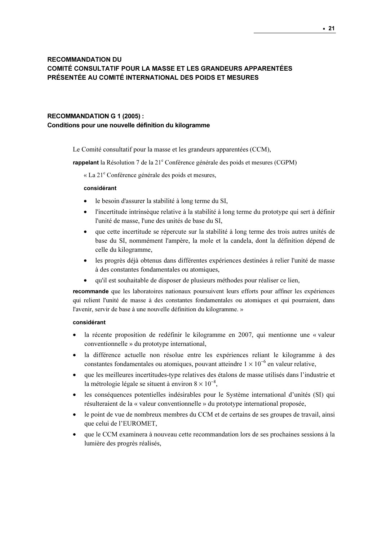# RECOMMANDATION DU COMITÉ CONSULTATIF POUR LA MASSE ET LES GRANDEURS APPARENTÉES PRÉSENTÉE AU COMITÉ INTERNATIONAL DES POIDS ET MESURES

## RECOMMANDATION G 1 (2005) :

#### Conditions pour une nouvelle définition du kilogramme

Le Comité consultatif pour la masse et les grandeurs apparentées (CCM),

rappelant la Résolution 7 de la 21<sup>e</sup> Conférence générale des poids et mesures (CGPM)

« La 21<sup>e</sup> Conférence générale des poids et mesures,

#### considérant

- le besoin d'assurer la stabilité à long terme du SI,
- l'incertitude intrinsèque relative à la stabilité à long terme du prototype qui sert à définir l'unité de masse, l'une des unités de base du SI,
- que cette incertitude se répercute sur la stabilité à long terme des trois autres unités de base du SI, nommément l'ampère, la mole et la candela, dont la définition dépend de celle du kilogramme,
- les progrès déjà obtenus dans différentes expériences destinées à relier l'unité de masse à des constantes fondamentales ou atomiques,
- qu'il est souhaitable de disposer de plusieurs méthodes pour réaliser ce lien,

recommande que les laboratoires nationaux poursuivent leurs efforts pour affiner les expériences qui relient l'unité de masse à des constantes fondamentales ou atomiques et qui pourraient, dans l'avenir, servir de base à une nouvelle définition du kilogramme. »

#### considérant

- la récente proposition de redéfinir le kilogramme en 2007, qui mentionne une « valeur conventionnelle » du prototype international,
- la différence actuelle non résolue entre les expériences reliant le kilogramme à des constantes fondamentales ou atomiques, pouvant atteindre  $1 \times 10^{-6}$  en valeur relative.
- que les meilleures incertitudes-type relatives des étalons de masse utilisés dans l'industrie et la métrologie légale se situent à environ  $8 \times 10^{-8}$ ,
- les conséquences potentielles indésirables pour le Système international d'unités (SI) qui résulteraient de la « valeur conventionnelle » du prototype international proposée,
- le point de vue de nombreux membres du CCM et de certains de ses groupes de travail, ainsi que celui de l'EUROMET,
- que le CCM examinera à nouveau cette recommandation lors de ses prochaines sessions à la lumière des progrès réalisés,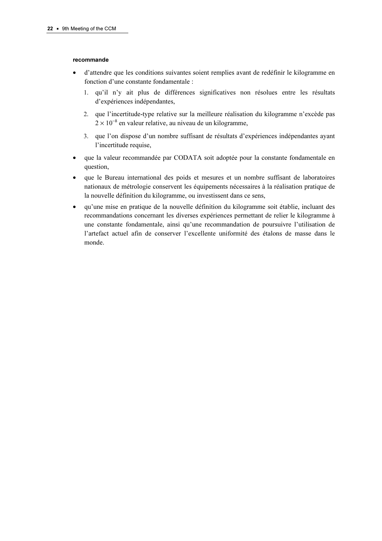#### recommande

- d'attendre que les conditions suivantes soient remplies avant de redéfinir le kilogramme en fonction d'une constante fondamentale :
	- 1. qu'il n'y ait plus de différences significatives non résolues entre les résultats d'expériences indépendantes,
	- 2. que l'incertitude-type relative sur la meilleure réalisation du kilogramme n'excède pas 2 × 10<sup>-8</sup> en valeur relative, au niveau de un kilogramme,
	- 3. que l'on dispose d'un nombre suffisant de résultats d'expériences indépendantes ayant l'incertitude requise,
- que la valeur recommandée par CODATA soit adoptée pour la constante fondamentale en question,
- que le Bureau international des poids et mesures et un nombre suffisant de laboratoires nationaux de métrologie conservent les équipements nécessaires à la réalisation pratique de la nouvelle définition du kilogramme, ou investissent dans ce sens,
- qu'une mise en pratique de la nouvelle définition du kilogramme soit établie, incluant des recommandations concernant les diverses expériences permettant de relier le kilogramme à une constante fondamentale, ainsi qu'une recommandation de poursuivre l'utilisation de l'artefact actuel afin de conserver l'excellente uniformité des étalons de masse dans le monde.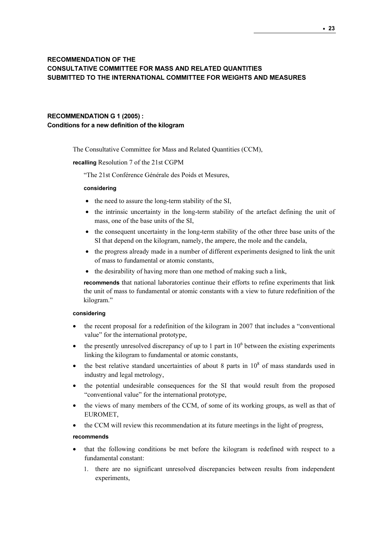# RECOMMENDATION OF THE CONSULTATIVE COMMITTEE FOR MASS AND RELATED QUANTITIES SUBMITTED TO THE INTERNATIONAL COMMITTEE FOR WEIGHTS AND MEASURES

# RECOMMENDATION G 1 (2005) : Conditions for a new definition of the kilogram

The Consultative Committee for Mass and Related Quantities (CCM),

#### recalling Resolution 7 of the 21st CGPM

"The 21st Conférence Générale des Poids et Mesures,

#### considering

- the need to assure the long-term stability of the SI,
- the intrinsic uncertainty in the long-term stability of the artefact defining the unit of mass, one of the base units of the SI,
- the consequent uncertainty in the long-term stability of the other three base units of the SI that depend on the kilogram, namely, the ampere, the mole and the candela,
- the progress already made in a number of different experiments designed to link the unit of mass to fundamental or atomic constants,
- the desirability of having more than one method of making such a link,

recommends that national laboratories continue their efforts to refine experiments that link the unit of mass to fundamental or atomic constants with a view to future redefinition of the kilogram."

#### considering

- the recent proposal for a redefinition of the kilogram in 2007 that includes a "conventional value" for the international prototype,
- $\bullet$  the presently unresolved discrepancy of up to 1 part in 10<sup>6</sup> between the existing experiments linking the kilogram to fundamental or atomic constants,
- the best relative standard uncertainties of about 8 parts in  $10<sup>8</sup>$  of mass standards used in industry and legal metrology,
- the potential undesirable consequences for the SI that would result from the proposed "conventional value" for the international prototype,
- the views of many members of the CCM, of some of its working groups, as well as that of EUROMET,
- the CCM will review this recommendation at its future meetings in the light of progress,

#### recommends

- that the following conditions be met before the kilogram is redefined with respect to a fundamental constant:
	- 1. there are no significant unresolved discrepancies between results from independent experiments,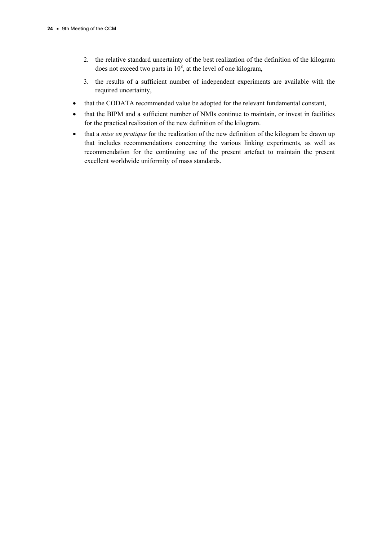- 2. the relative standard uncertainty of the best realization of the definition of the kilogram does not exceed two parts in  $10^8$ , at the level of one kilogram,
- 3. the results of a sufficient number of independent experiments are available with the required uncertainty,
- that the CODATA recommended value be adopted for the relevant fundamental constant,
- that the BIPM and a sufficient number of NMIs continue to maintain, or invest in facilities for the practical realization of the new definition of the kilogram.
- that a *mise en pratique* for the realization of the new definition of the kilogram be drawn up that includes recommendations concerning the various linking experiments, as well as recommendation for the continuing use of the present artefact to maintain the present excellent worldwide uniformity of mass standards.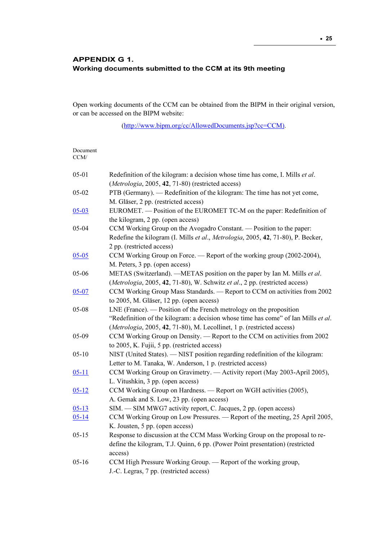# APPENDIX G 1. Working documents submitted to the CCM at its 9th meeting

Open working documents of the CCM can be obtained from the BIPM in their original version, or can be accessed on the BIPM website:

[\(http://www.bipm.org/cc/AllowedDocuments.jsp?cc=CCM\)](https://www.bipm.org/cc/AllowedDocuments.jsp?cc=CCM).

| Document<br>CCM/ |                                                                                                                                                                                                                                     |
|------------------|-------------------------------------------------------------------------------------------------------------------------------------------------------------------------------------------------------------------------------------|
| $05 - 01$        | Redefinition of the kilogram: a decision whose time has come, I. Mills <i>et al.</i><br>(Metrologia, 2005, 42, 71-80) (restricted access)                                                                                           |
| $05 - 02$        | PTB (Germany). — Redefinition of the kilogram: The time has not yet come,<br>M. Gläser, 2 pp. (restricted access)                                                                                                                   |
| $05 - 03$        | EUROMET. — Position of the EUROMET TC-M on the paper: Redefinition of<br>the kilogram, 2 pp. (open access)                                                                                                                          |
| $05 - 04$        | CCM Working Group on the Avogadro Constant. — Position to the paper:<br>Redefine the kilogram (I. Mills et al., Metrologia, 2005, 42, 71-80), P. Becker,<br>2 pp. (restricted access)                                               |
| $05 - 05$        | CCM Working Group on Force. — Report of the working group (2002-2004),<br>M. Peters, 3 pp. (open access)                                                                                                                            |
| 05-06            | METAS (Switzerland). —METAS position on the paper by Ian M. Mills et al.<br>(Metrologia, 2005, 42, 71-80), W. Schwitz et al., 2 pp. (restricted access)                                                                             |
| $05 - 07$        | CCM Working Group Mass Standards. - Report to CCM on activities from 2002<br>to 2005, M. Gläser, 12 pp. (open access)                                                                                                               |
| 05-08            | LNE (France). — Position of the French metrology on the proposition<br>"Redefinition of the kilogram: a decision whose time has come" of Ian Mills et al.<br>(Metrologia, 2005, 42, 71-80), M. Lecollinet, 1 p. (restricted access) |
| $05-09$          | CCM Working Group on Density. - Report to the CCM on activities from 2002<br>to 2005, K. Fujii, 5 pp. (restricted access)                                                                                                           |
| $05 - 10$        | NIST (United States). - NIST position regarding redefinition of the kilogram:<br>Letter to M. Tanaka, W. Anderson, 1 p. (restricted access)                                                                                         |
| $05 - 11$        | CCM Working Group on Gravimetry. — Activity report (May 2003-April 2005),<br>L. Vitushkin, 3 pp. (open access)                                                                                                                      |
| $05 - 12$        | CCM Working Group on Hardness. - Report on WGH activities (2005),<br>A. Gemak and S. Low, 23 pp. (open access)                                                                                                                      |
| $05 - 13$        | SIM. — SIM MWG7 activity report, C. Jacques, 2 pp. (open access)                                                                                                                                                                    |
| $05 - 14$        | CCM Working Group on Low Pressures. - Report of the meeting, 25 April 2005,<br>K. Jousten, 5 pp. (open access)                                                                                                                      |
| $05 - 15$        | Response to discussion at the CCM Mass Working Group on the proposal to re-<br>define the kilogram, T.J. Quinn, 6 pp. (Power Point presentation) (restricted<br>access)                                                             |
| $05 - 16$        | CCM High Pressure Working Group. - Report of the working group,<br>J.-C. Legras, 7 pp. (restricted access)                                                                                                                          |